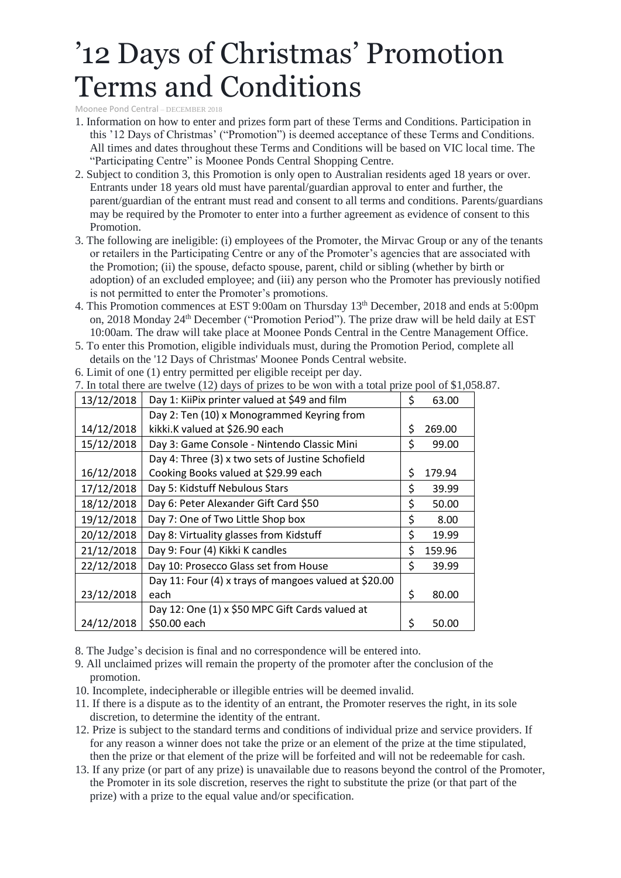## '12 Days of Christmas' Promotion Terms and Conditions

Moonee Pond Central – DECEMBER 2018

- 1. Information on how to enter and prizes form part of these Terms and Conditions. Participation in this '12 Days of Christmas' ("Promotion") is deemed acceptance of these Terms and Conditions. All times and dates throughout these Terms and Conditions will be based on VIC local time. The "Participating Centre" is Moonee Ponds Central Shopping Centre.
- 2. Subject to condition 3, this Promotion is only open to Australian residents aged 18 years or over. Entrants under 18 years old must have parental/guardian approval to enter and further, the parent/guardian of the entrant must read and consent to all terms and conditions. Parents/guardians may be required by the Promoter to enter into a further agreement as evidence of consent to this Promotion.
- 3. The following are ineligible: (i) employees of the Promoter, the Mirvac Group or any of the tenants or retailers in the Participating Centre or any of the Promoter's agencies that are associated with the Promotion; (ii) the spouse, defacto spouse, parent, child or sibling (whether by birth or adoption) of an excluded employee; and (iii) any person who the Promoter has previously notified is not permitted to enter the Promoter's promotions.
- 4. This Promotion commences at EST 9:00am on Thursday 13th December, 2018 and ends at 5:00pm on, 2018 Monday 24<sup>th</sup> December ("Promotion Period"). The prize draw will be held daily at EST 10:00am. The draw will take place at Moonee Ponds Central in the Centre Management Office.
- 5. To enter this Promotion, eligible individuals must, during the Promotion Period, complete all details on the '12 Days of Christmas' Moonee Ponds Central website.

| In total there are twelve (12) days of prizes to be won with a total prize pool of $\uparrow$ 1.0. |                                                       |    |        |
|----------------------------------------------------------------------------------------------------|-------------------------------------------------------|----|--------|
| 13/12/2018                                                                                         | Day 1: KiiPix printer valued at \$49 and film         | \$ | 63.00  |
|                                                                                                    | Day 2: Ten (10) x Monogrammed Keyring from            |    |        |
| 14/12/2018                                                                                         | kikki.K valued at \$26.90 each                        | \$ | 269.00 |
| 15/12/2018                                                                                         | Day 3: Game Console - Nintendo Classic Mini           | \$ | 99.00  |
|                                                                                                    | Day 4: Three (3) x two sets of Justine Schofield      |    |        |
| 16/12/2018                                                                                         | Cooking Books valued at \$29.99 each                  | \$ | 179.94 |
| 17/12/2018                                                                                         | Day 5: Kidstuff Nebulous Stars                        | \$ | 39.99  |
| 18/12/2018                                                                                         | Day 6: Peter Alexander Gift Card \$50                 | \$ | 50.00  |
| 19/12/2018                                                                                         | Day 7: One of Two Little Shop box                     | \$ | 8.00   |
| 20/12/2018                                                                                         | Day 8: Virtuality glasses from Kidstuff               | \$ | 19.99  |
| 21/12/2018                                                                                         | Day 9: Four (4) Kikki K candles                       | \$ | 159.96 |
| 22/12/2018                                                                                         | Day 10: Prosecco Glass set from House                 | \$ | 39.99  |
|                                                                                                    | Day 11: Four (4) x trays of mangoes valued at \$20.00 |    |        |
| 23/12/2018                                                                                         | each                                                  | \$ | 80.00  |
|                                                                                                    | Day 12: One (1) x \$50 MPC Gift Cards valued at       |    |        |
| 24/12/2018                                                                                         | \$50.00 each                                          | Ś  | 50.00  |

6. Limit of one (1) entry permitted per eligible receipt per day.

 $1.058.87$ .

- 8. The Judge's decision is final and no correspondence will be entered into.
- 9. All unclaimed prizes will remain the property of the promoter after the conclusion of the promotion.
- 10. Incomplete, indecipherable or illegible entries will be deemed invalid.
- 11. If there is a dispute as to the identity of an entrant, the Promoter reserves the right, in its sole discretion, to determine the identity of the entrant.
- 12. Prize is subject to the standard terms and conditions of individual prize and service providers. If for any reason a winner does not take the prize or an element of the prize at the time stipulated, then the prize or that element of the prize will be forfeited and will not be redeemable for cash.
- 13. If any prize (or part of any prize) is unavailable due to reasons beyond the control of the Promoter, the Promoter in its sole discretion, reserves the right to substitute the prize (or that part of the prize) with a prize to the equal value and/or specification.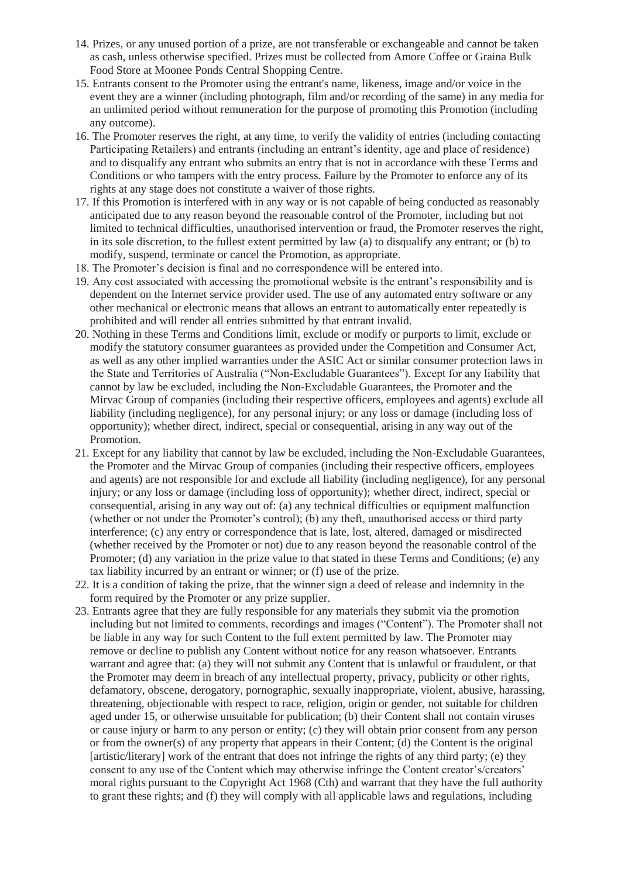- 14. Prizes, or any unused portion of a prize, are not transferable or exchangeable and cannot be taken as cash, unless otherwise specified. Prizes must be collected from Amore Coffee or Graina Bulk Food Store at Moonee Ponds Central Shopping Centre.
- 15. Entrants consent to the Promoter using the entrant's name, likeness, image and/or voice in the event they are a winner (including photograph, film and/or recording of the same) in any media for an unlimited period without remuneration for the purpose of promoting this Promotion (including any outcome).
- 16. The Promoter reserves the right, at any time, to verify the validity of entries (including contacting Participating Retailers) and entrants (including an entrant's identity, age and place of residence) and to disqualify any entrant who submits an entry that is not in accordance with these Terms and Conditions or who tampers with the entry process. Failure by the Promoter to enforce any of its rights at any stage does not constitute a waiver of those rights.
- 17. If this Promotion is interfered with in any way or is not capable of being conducted as reasonably anticipated due to any reason beyond the reasonable control of the Promoter, including but not limited to technical difficulties, unauthorised intervention or fraud, the Promoter reserves the right, in its sole discretion, to the fullest extent permitted by law (a) to disqualify any entrant; or (b) to modify, suspend, terminate or cancel the Promotion, as appropriate.
- 18. The Promoter's decision is final and no correspondence will be entered into.
- 19. Any cost associated with accessing the promotional website is the entrant's responsibility and is dependent on the Internet service provider used. The use of any automated entry software or any other mechanical or electronic means that allows an entrant to automatically enter repeatedly is prohibited and will render all entries submitted by that entrant invalid.
- 20. Nothing in these Terms and Conditions limit, exclude or modify or purports to limit, exclude or modify the statutory consumer guarantees as provided under the Competition and Consumer Act, as well as any other implied warranties under the ASIC Act or similar consumer protection laws in the State and Territories of Australia ("Non-Excludable Guarantees"). Except for any liability that cannot by law be excluded, including the Non-Excludable Guarantees, the Promoter and the Mirvac Group of companies (including their respective officers, employees and agents) exclude all liability (including negligence), for any personal injury; or any loss or damage (including loss of opportunity); whether direct, indirect, special or consequential, arising in any way out of the Promotion.
- 21. Except for any liability that cannot by law be excluded, including the Non-Excludable Guarantees, the Promoter and the Mirvac Group of companies (including their respective officers, employees and agents) are not responsible for and exclude all liability (including negligence), for any personal injury; or any loss or damage (including loss of opportunity); whether direct, indirect, special or consequential, arising in any way out of: (a) any technical difficulties or equipment malfunction (whether or not under the Promoter's control); (b) any theft, unauthorised access or third party interference; (c) any entry or correspondence that is late, lost, altered, damaged or misdirected (whether received by the Promoter or not) due to any reason beyond the reasonable control of the Promoter; (d) any variation in the prize value to that stated in these Terms and Conditions; (e) any tax liability incurred by an entrant or winner; or (f) use of the prize.
- 22. It is a condition of taking the prize, that the winner sign a deed of release and indemnity in the form required by the Promoter or any prize supplier.
- 23. Entrants agree that they are fully responsible for any materials they submit via the promotion including but not limited to comments, recordings and images ("Content"). The Promoter shall not be liable in any way for such Content to the full extent permitted by law. The Promoter may remove or decline to publish any Content without notice for any reason whatsoever. Entrants warrant and agree that: (a) they will not submit any Content that is unlawful or fraudulent, or that the Promoter may deem in breach of any intellectual property, privacy, publicity or other rights, defamatory, obscene, derogatory, pornographic, sexually inappropriate, violent, abusive, harassing, threatening, objectionable with respect to race, religion, origin or gender, not suitable for children aged under 15, or otherwise unsuitable for publication; (b) their Content shall not contain viruses or cause injury or harm to any person or entity; (c) they will obtain prior consent from any person or from the owner(s) of any property that appears in their Content; (d) the Content is the original [artistic/literary] work of the entrant that does not infringe the rights of any third party; (e) they consent to any use of the Content which may otherwise infringe the Content creator's/creators' moral rights pursuant to the Copyright Act 1968 (Cth) and warrant that they have the full authority to grant these rights; and (f) they will comply with all applicable laws and regulations, including